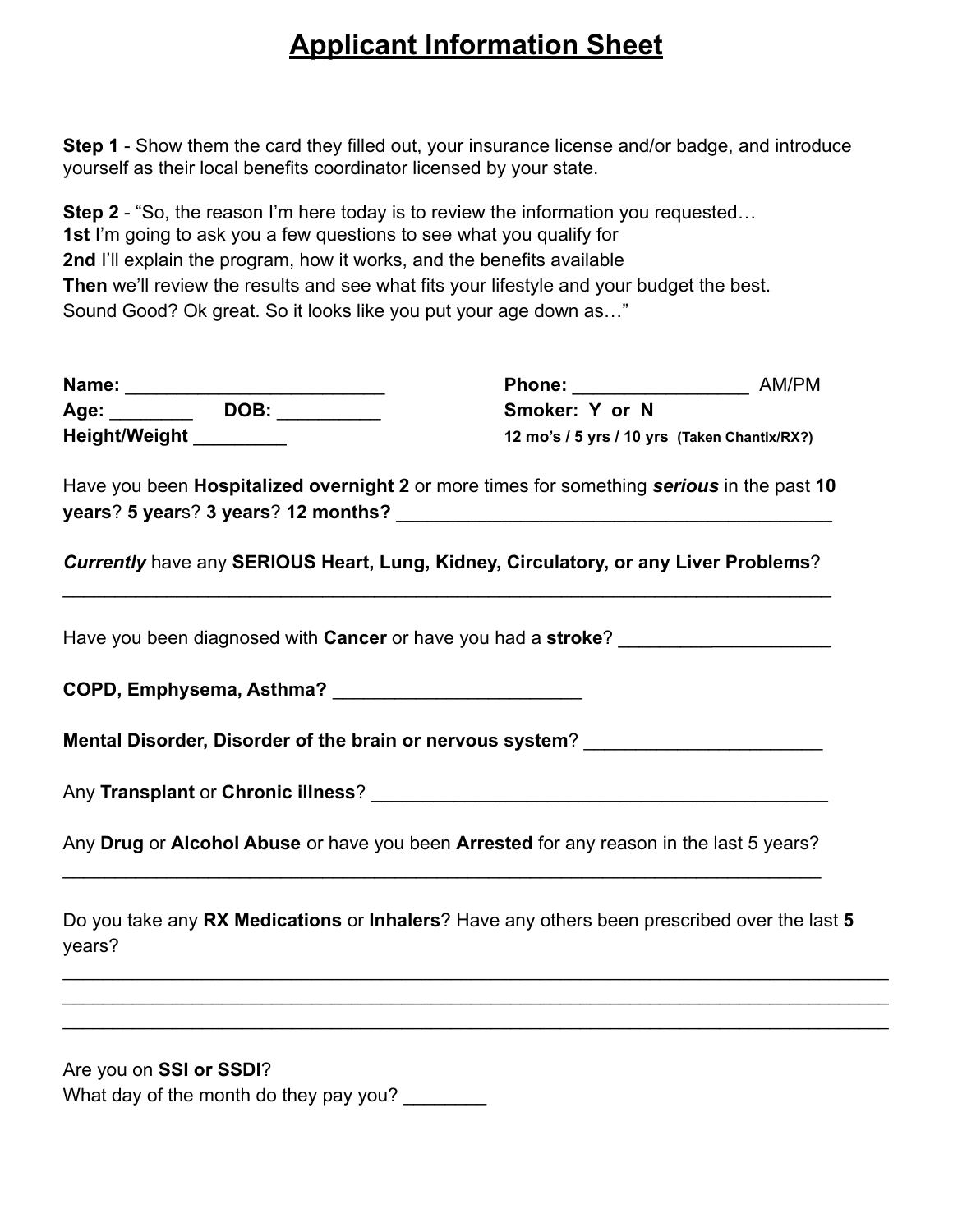## **Applicant Information Sheet**

**Step 1** - Show them the card they filled out, your insurance license and/or badge, and introduce yourself as their local benefits coordinator licensed by your state.

**Step 2** - "So, the reason I'm here today is to review the information you requested... **1st** I'm going to ask you a few questions to see what you qualify for **2nd** I'll explain the program, how it works, and the benefits available **Then** we'll review the results and see what fits your lifestyle and your budget the best. Sound Good? Ok great. So it looks like you put your age down as…"

| Name:         |      | Phone:                                       | AM/PM |
|---------------|------|----------------------------------------------|-------|
| Age:          | DOB: | Smoker: Y or N                               |       |
| Height/Weight |      | 12 mo's / 5 yrs / 10 yrs (Taken Chantix/RX?) |       |

Have you been **Hospitalized overnight 2** or more times for something *serious* in the past **10 years**? **5 year**s? **3 years**? **12 months?** \_\_\_\_\_\_\_\_\_\_\_\_\_\_\_\_\_\_\_\_\_\_\_\_\_\_\_\_\_\_\_\_\_\_\_\_\_\_\_\_\_\_

*Currently* have any **SERIOUS Heart, Lung, Kidney, Circulatory, or any Liver Problems**?  $\mathcal{L}_\mathcal{L} = \mathcal{L}_\mathcal{L} = \mathcal{L}_\mathcal{L} = \mathcal{L}_\mathcal{L} = \mathcal{L}_\mathcal{L} = \mathcal{L}_\mathcal{L} = \mathcal{L}_\mathcal{L} = \mathcal{L}_\mathcal{L} = \mathcal{L}_\mathcal{L} = \mathcal{L}_\mathcal{L} = \mathcal{L}_\mathcal{L} = \mathcal{L}_\mathcal{L} = \mathcal{L}_\mathcal{L} = \mathcal{L}_\mathcal{L} = \mathcal{L}_\mathcal{L} = \mathcal{L}_\mathcal{L} = \mathcal{L}_\mathcal{L}$ 

Have you been diagnosed with **Cancer** or have you had a **stroke**? \_\_\_\_\_\_\_\_\_\_\_\_\_\_\_\_\_\_\_\_\_

**COPD, Emphysema, Asthma?** \_\_\_\_\_\_\_\_\_\_\_\_\_\_\_\_\_\_\_\_\_\_\_\_

**Mental Disorder, Disorder of the brain or nervous system**? \_\_\_\_\_\_\_\_\_\_\_\_\_\_\_\_\_\_\_\_\_\_\_

Any Transplant or Chronic illness? **Example 20 and 20 and 20 and 20 and 20 and 20 and 20 and 20 and 20 and 20 and 20 and 20 and 20 and 20 and 20 and 20 and 20 and 20 and 20 and 20 and 20 and 20 and 20 and 20 and 20 and 20** 

Any **Drug** or **Alcohol Abuse** or have you been **Arrested** for any reason in the last 5 years?  $\mathcal{L}_\text{max}$  and  $\mathcal{L}_\text{max}$  and  $\mathcal{L}_\text{max}$  and  $\mathcal{L}_\text{max}$  and  $\mathcal{L}_\text{max}$  and  $\mathcal{L}_\text{max}$ 

Do you take any **RX Medications** or **Inhalers**? Have any others been prescribed over the last **5** years?

\_\_\_\_\_\_\_\_\_\_\_\_\_\_\_\_\_\_\_\_\_\_\_\_\_\_\_\_\_\_\_\_\_\_\_\_\_\_\_\_\_\_\_\_\_\_\_\_\_\_\_\_\_\_\_\_\_\_\_\_\_\_\_\_\_\_\_\_\_\_\_\_\_\_\_\_\_\_\_\_\_\_\_ \_\_\_\_\_\_\_\_\_\_\_\_\_\_\_\_\_\_\_\_\_\_\_\_\_\_\_\_\_\_\_\_\_\_\_\_\_\_\_\_\_\_\_\_\_\_\_\_\_\_\_\_\_\_\_\_\_\_\_\_\_\_\_\_\_\_\_\_\_\_\_\_\_\_\_\_\_\_\_\_\_\_\_ \_\_\_\_\_\_\_\_\_\_\_\_\_\_\_\_\_\_\_\_\_\_\_\_\_\_\_\_\_\_\_\_\_\_\_\_\_\_\_\_\_\_\_\_\_\_\_\_\_\_\_\_\_\_\_\_\_\_\_\_\_\_\_\_\_\_\_\_\_\_\_\_\_\_\_\_\_\_\_\_\_\_\_

Are you on **SSI or SSDI**? What day of the month do they pay you?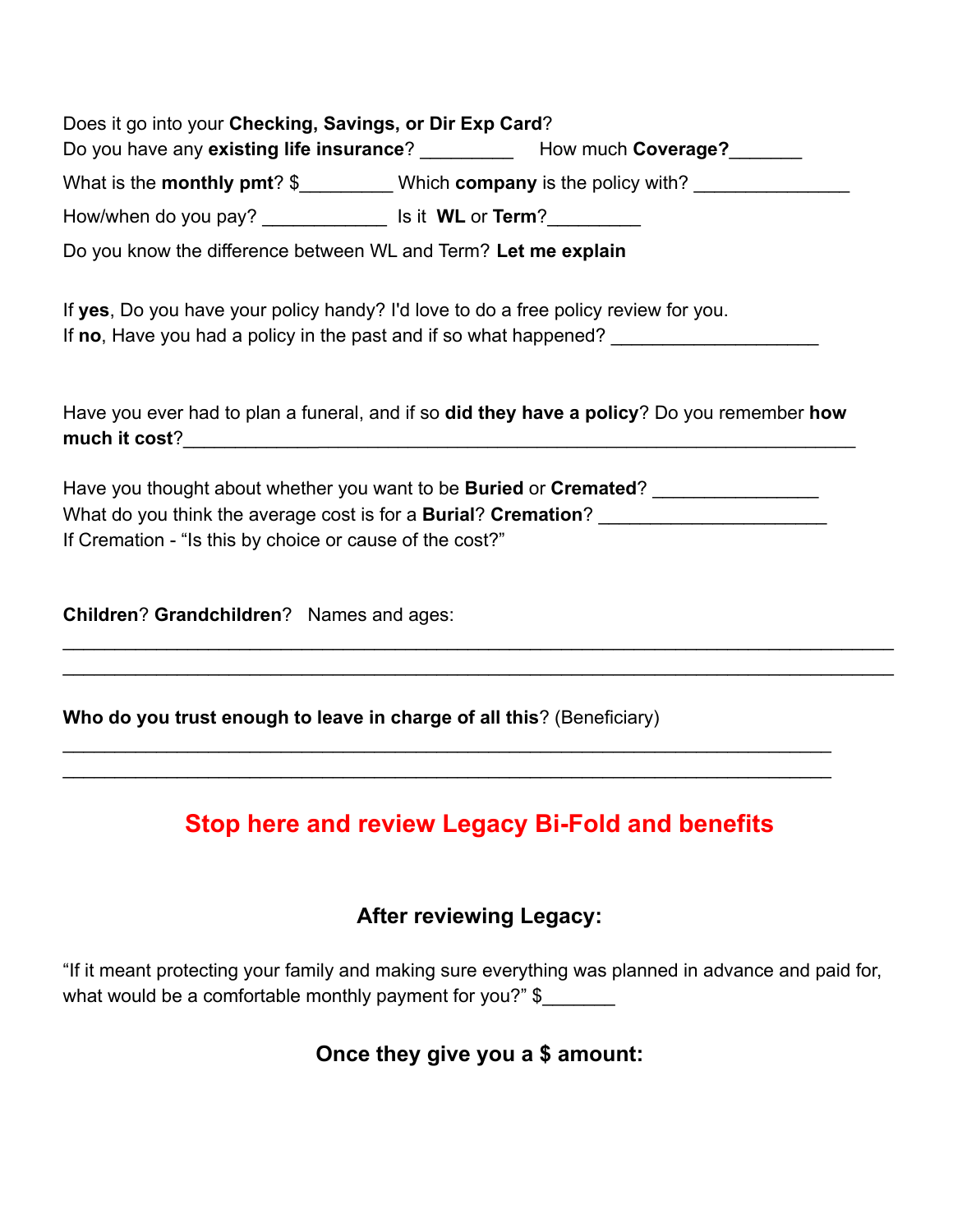| Does it go into your Checking, Savings, or Dir Exp Card?                                                                                                                 | Do you have any existing life insurance? ___________ How much Coverage? _______    |  |  |  |  |  |
|--------------------------------------------------------------------------------------------------------------------------------------------------------------------------|------------------------------------------------------------------------------------|--|--|--|--|--|
|                                                                                                                                                                          | What is the monthly pmt? \$_________ Which company is the policy with? ___________ |  |  |  |  |  |
| How/when do you pay? ________________ Is it WL or Term?__________                                                                                                        |                                                                                    |  |  |  |  |  |
| Do you know the difference between WL and Term? Let me explain                                                                                                           |                                                                                    |  |  |  |  |  |
| If yes, Do you have your policy handy? I'd love to do a free policy review for you.<br>If no, Have you had a policy in the past and if so what happened? _______________ |                                                                                    |  |  |  |  |  |
| Have you ever had to plan a funeral, and if so did they have a policy? Do you remember how<br>much it cost?                                                              |                                                                                    |  |  |  |  |  |
|                                                                                                                                                                          | Have you thought about whether you want to be <b>Buried</b> or <b>Cremated</b> ?   |  |  |  |  |  |
| What do you think the average cost is for a <b>Burial? Cremation?</b> _______________________                                                                            |                                                                                    |  |  |  |  |  |
| If Cremation - "Is this by choice or cause of the cost?"                                                                                                                 |                                                                                    |  |  |  |  |  |
| Children? Grandchildren? Names and ages:                                                                                                                                 |                                                                                    |  |  |  |  |  |
|                                                                                                                                                                          |                                                                                    |  |  |  |  |  |

**Who do you trust enough to leave in charge of all this**? (Beneficiary)

## **Stop here and review Legacy Bi-Fold and benefits**

 $\mathcal{L}_\mathcal{L} = \mathcal{L}_\mathcal{L} = \mathcal{L}_\mathcal{L} = \mathcal{L}_\mathcal{L} = \mathcal{L}_\mathcal{L} = \mathcal{L}_\mathcal{L} = \mathcal{L}_\mathcal{L} = \mathcal{L}_\mathcal{L} = \mathcal{L}_\mathcal{L} = \mathcal{L}_\mathcal{L} = \mathcal{L}_\mathcal{L} = \mathcal{L}_\mathcal{L} = \mathcal{L}_\mathcal{L} = \mathcal{L}_\mathcal{L} = \mathcal{L}_\mathcal{L} = \mathcal{L}_\mathcal{L} = \mathcal{L}_\mathcal{L}$  $\mathcal{L}_\mathcal{L} = \mathcal{L}_\mathcal{L} = \mathcal{L}_\mathcal{L} = \mathcal{L}_\mathcal{L} = \mathcal{L}_\mathcal{L} = \mathcal{L}_\mathcal{L} = \mathcal{L}_\mathcal{L} = \mathcal{L}_\mathcal{L} = \mathcal{L}_\mathcal{L} = \mathcal{L}_\mathcal{L} = \mathcal{L}_\mathcal{L} = \mathcal{L}_\mathcal{L} = \mathcal{L}_\mathcal{L} = \mathcal{L}_\mathcal{L} = \mathcal{L}_\mathcal{L} = \mathcal{L}_\mathcal{L} = \mathcal{L}_\mathcal{L}$ 

### **After reviewing Legacy:**

"If it meant protecting your family and making sure everything was planned in advance and paid for, what would be a comfortable monthly payment for you?" \$

**Once they give you a \$ amount:**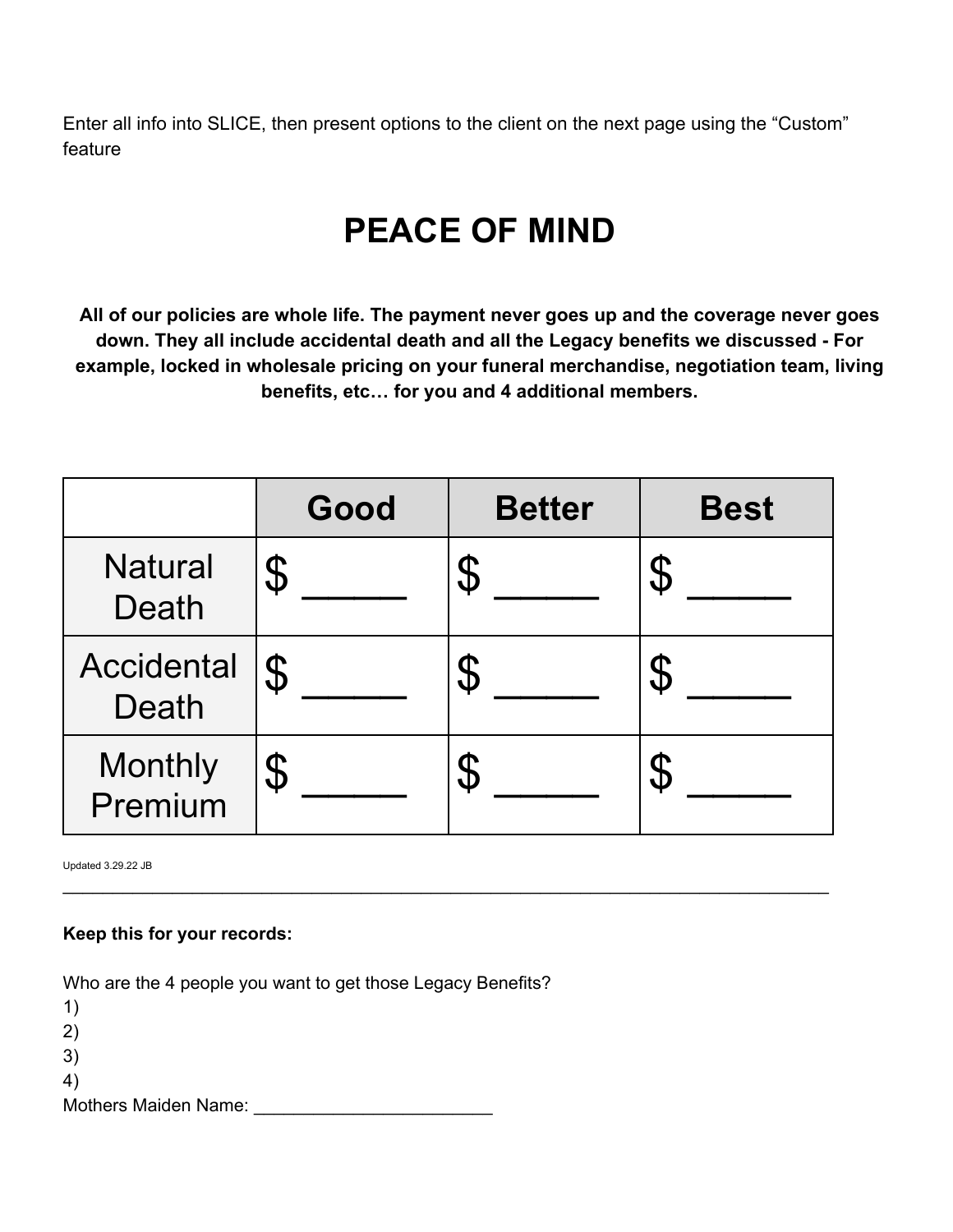Enter all info into SLICE, then present options to the client on the next page using the "Custom" feature

# **PEACE OF MIND**

**All of our policies are whole life. The payment never goes up and the coverage never goes down. They all include accidental death and all the Legacy benefits we discussed - For example, locked in wholesale pricing on your funeral merchandise, negotiation team, living benefits, etc… for you and 4 additional members.**

|                                   | Good                      | <b>Better</b> | <b>Best</b>                                                                                                                      |
|-----------------------------------|---------------------------|---------------|----------------------------------------------------------------------------------------------------------------------------------|
| <b>Natural</b><br>Death           | $\boldsymbol{\vartheta}$  |               | $\mathfrak{P}% _{T}=\mathfrak{P}_{T}\!\left( a,b\right) ,\ \mathfrak{P}_{T}=C_{T}\!\left( a,b\right) ,$                          |
| <b>Accidental</b><br><b>Death</b> | $\boldsymbol{\mathsf{S}}$ |               | $\mathfrak{P}% _{A}^{\ast}=\mathfrak{P}_{A}\!\left( a,b\right) ,\ \mathfrak{P}_{B}^{\ast}=\mathfrak{P}_{B}\!\left( a,b\right) ,$ |
| <b>Monthly</b><br>Premium         | $\boldsymbol{\vartheta}$  |               | $\mathfrak{P}% _{T}=\mathfrak{P}_{T}\!\left( a,b\right) ,\ \mathfrak{P}_{T}=C_{T}\!\left( a,b\right) ,$                          |

\_\_\_\_\_\_\_\_\_\_\_\_\_\_\_\_\_\_\_\_\_\_\_\_\_\_\_\_\_\_\_\_\_\_\_\_\_\_\_\_\_\_\_\_\_\_\_\_\_\_\_\_\_\_\_\_\_\_\_\_\_\_\_\_\_\_\_\_\_\_\_\_\_\_\_\_\_

Updated 3.29.22 JB

#### **Keep this for your records:**

Who are the 4 people you want to get those Legacy Benefits?

| $\left( \begin{matrix} 1 \end{matrix} \right)$ |  |
|------------------------------------------------|--|
| 2)                                             |  |
| 3)                                             |  |
| 4)                                             |  |
| <b>Mothers Maiden Name:</b>                    |  |